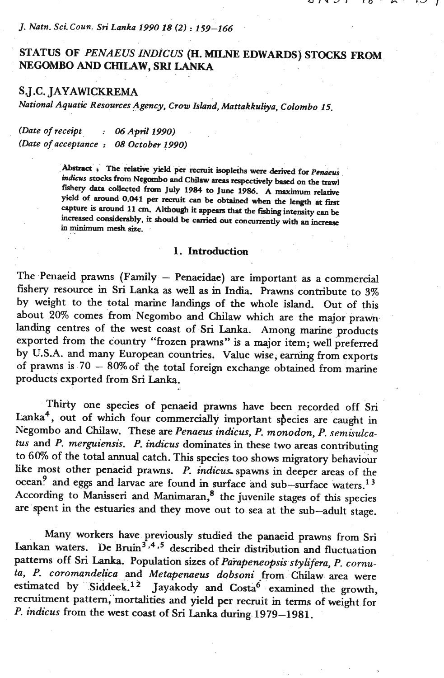# STATUS OF PENAEUS INDICUS (H. MILNE EDWARDS) STOCKS FROM **NEGOMBO** AND CHILAW, **SRI LANKA**

 $\cdot$  0

# **SJ** .C. **JAYAWICKREMA**

*National Aquatic Resources Agency, Crow Island, Mattakkuliya, Colombo 15.* 

*(Date of receipt* : *06Apd 1990)* . . . *(Date ofacceptance* : *08 0ctober 1990)* 

> $\Delta$ bstract **r** The relative yield per recruit isopleths were derived for *Penaeus* **mhs stocks** from **Negambo and Chilaw mas respectively based on the trawl fishery data collected** from **July 1984 to June 1986. A** maximum **relative yield of around 0.041 pa recruit can be obtained when the length at fim**  capture is around 11 cm. Although it appears that the fishing intensity can be increased considerably, it should be carried out concurrently with an increase **in minimum mesh** size.

# 1. Introduction

The Penaeid prawns (Family - Penaeidae) are important **as** a commercial fishery resource in **Sri Lanka as well** as in India. Prawns contribute to 3% by weight to the total marine landings of the whole island. Out of **this**  about 20% comes from Negombo and Chilaw which are the major prawn landing centres of the west coast of **Sri** Lanka. Among marine products exported from the country "frozen prawns" is a major item; well preferred by U.S.A. and many European countries. Value wise, **earning** from exports of prawns is  $70 - 80\%$  of the total foreign exchange obtained from marine products exported from **Sri Lanka.** 

Thirty one species of penaeid prawns have been recorded off **Sri**  Lanka<sup>4</sup>, out of which four commercially important species are caught in Negombo and Chilaw. These are *Penaeus indicus, P. monodon, P. semisulca***tus** and *P. merguiensis.* **P.** *indicus* dominates *in* these two areas contributing to **6%** of the total annual catch. **This** species too shows migratory behaviour like most other penaeid prawns. **P.** *indicus* spawns in deeper areas of the ocean<sup>9</sup> and eggs and larvae are found in surface and sub-surface waters.<sup>13</sup> According to Manisseri and Manimaran, $<sup>8</sup>$  the juvenile stages of this species</sup> are spent in the estuaries and they move out to sea at the sub-adult stage.

Many workers have previously studied the panaeid prawns from **Sri**   $\alpha$  ankan waters. De Bruin<sup>3,4,5</sup> described their distribution and fluctuation patterns off **Sri Lanka.** Population sizes of *Paiapeneopsk stylifera,* P. *cornuta, P. coromandelica* and *Metapemeus dobsoni* From Chilaw area were estimated by Siddeek.<sup>12</sup> Jayakody and Costa<sup>6</sup> examined the growth, recruitment pattern, mortalities and yield per recruit in terms of weight for *P. indicus* from the west coast of **Sri Lanka** during **1979-1981.**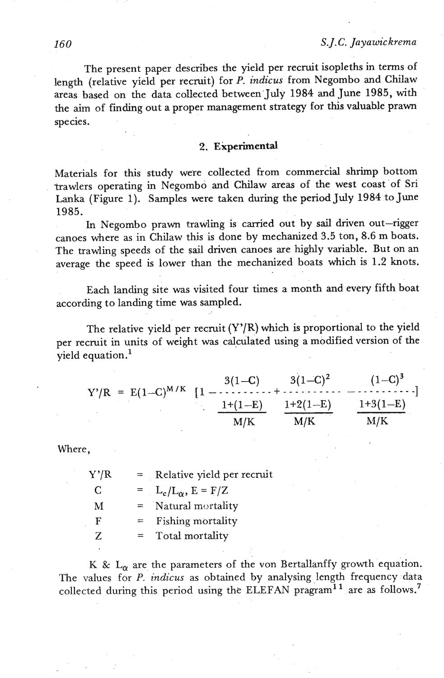The present paper describes the yield per recruit isopleths in terms of length (relative yield per recruit) for P. **indicus** from Negombo and Chilaw areas based on the data collected between.July **1984** and June **1985,** with the **aim** of finding out a proper management strategy for this valuable prawn species.

## **2. Experimental**

Materials for this study were collected from commercial shrimp bottom trawlers operating in Negombo and Chilaw areas of the west coast of Sri Lanka (Figure 1). Samples were taken during the period July **1984** to June **1985.** 

In Negombo prawn trawling is carried out by sail driven out-rigger canoes where as in Chilaw this is done by mechanized 3.5 ton, **8.6** m boats. The trawling speeds of the sail driven canoes are highly variable. But on an average the speed is lower than the mechanized boats which is 1.2 knots.

Each landing site was visited four times a month and every fifth boat according to landing time was sampled.

The relative yield per recruit  $(Y'/R)$  which is proportional to the yield per recruit in units of weight was calculated using a modified version of the yield equation.'

$$
Y'/R = E(1-C)^{M/K} \left[1 - \frac{3(1-C)}{1+(1-E)} + \frac{3(1-C)^2}{1+2(1-E)} - \frac{(1-C)^3}{1+3(1-E)}\right]
$$

$$
\frac{1+(1-E)}{M/K} \frac{1+2(1-E)}{M/K}
$$

Where,

| Y'/R         | $=$ | Relative yield per recruit     |
|--------------|-----|--------------------------------|
| <sup>C</sup> |     | $= L_c/L_{\alpha}$ , $E = F/Z$ |
| M            |     | $=$ Natural mortality          |
| F            | $=$ | Fishing mortality              |
| $Z_{\rm c}$  |     | Total mortality                |
|              |     |                                |

K &  $L_{\alpha}$  are the parameters of the von Bertallanffy growth equation. The values for P. **indicus** as obtained by analysing length frequency data collected during this period using the ELEFAN pragram<sup>11</sup> are as follows.<sup>7</sup>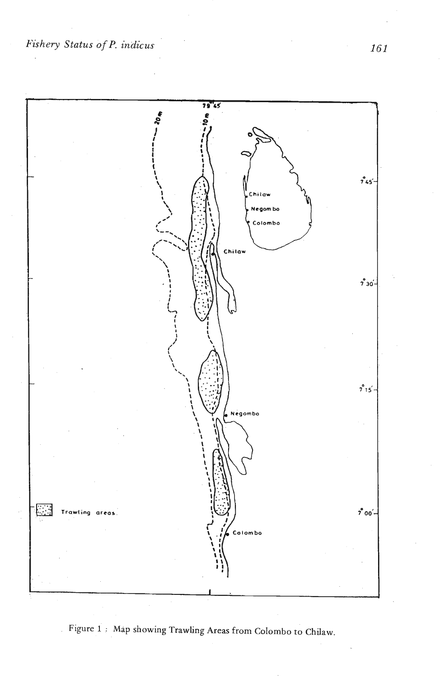*Fishery Status of P. indicus* 



**Figure 1** : **Map showing Trawling Areas from Colombo to Chilaw.** 

161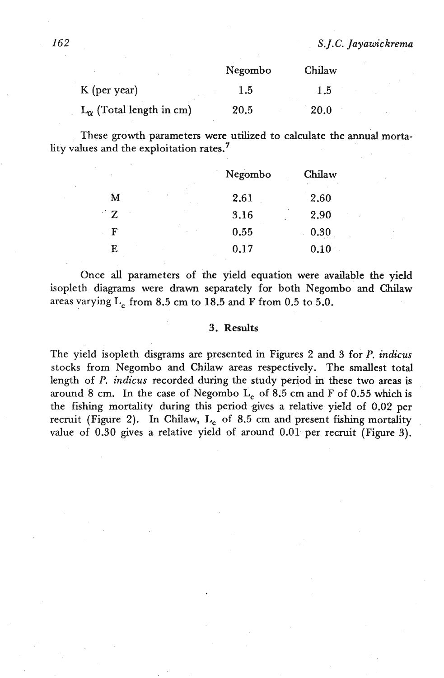|                                   | Negombo | Chilaw      |
|-----------------------------------|---------|-------------|
| K (per year)                      | 1.5     | 1.5         |
| $L_{\alpha}$ (Total length in cm) | 20.5    | <b>20.0</b> |

These growth parameters were utilized to calculate the annual mortality values **and the** exploitation rates.'

|        | Negombo | Chilaw |
|--------|---------|--------|
| M<br>۰ | 2.61    | 2.60   |
| Z      | 3.16    | 2.90   |
| F      | 0.55    | 0.30   |
| E      | 0.17    | 0.10   |

Once **all** parameters of the yield equation were available the yield isopleth diagrams were drawn separately for both Negombo and Chilaw areas varying  $L_c$  from 8.5 cm to 18.5 and F from 0.5 to 5.0.

### 3. Results

The yield isopleth disgrams are presented in Figures 2 and 3 for P. *indicus*  stocks from Negombo and Chilaw areas respectively. The smallest total length of P. *indicus* recorded during the study period in these two areas is around 8 cm. In the case of Negombo L<sub>c</sub> of 8.5 cm and F of 0.55 which is the fishing mortality during this period gives a relative yield of **0.02** per recruit (Figure 2). In Chilaw, L<sub>c</sub> of 8.5 cm and present fishing mortality value of **0.30** gives a relative yield of around 0.01 per recruit (Figure 3).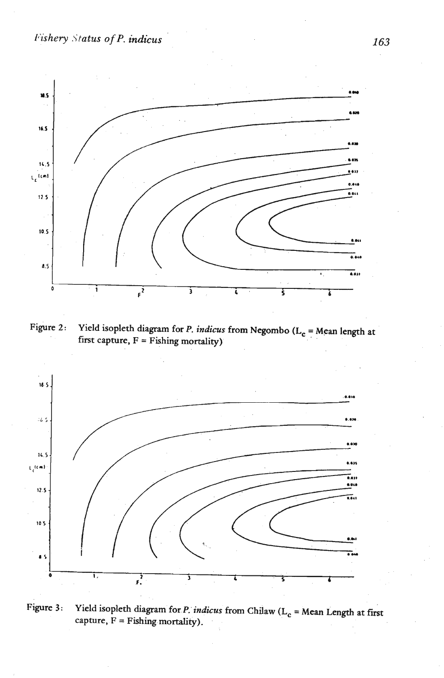# *P'ishe* **y .\'tatus of P. indicus**



**Figure 2:** Yield isopleth diagram for P. *indicus* from Negombo (L<sub>c</sub> = Mean length at first capture,  $F =$  **Fishing mortality**).



**Figure 3:** Yield isopleth diagram for *P. indicus* from Chilaw ( $L_c$  = Mean Length at first **capture, F** = **Fishing mortality).** 

163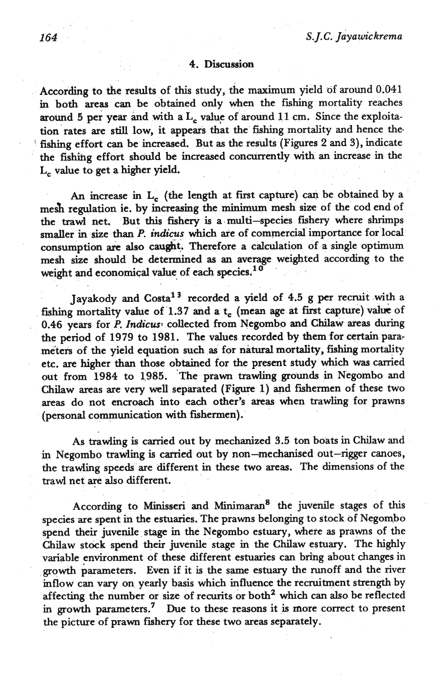### **4.** Discussion

According to the results of this study, the maximum yield **of** around 0.041 in both areas can be obtained only **when** the fishing mortality reaches around 5 per year and with a  $L_c$  value of around 11 cm. Since the exploitation rates are still low, it appears that the fishing mortality and hence **the.**  fishing effort **can** be increased. But **as** the results (Figures 2 and 3), indicate the fishihg effort should be increased concurrently with an increase in the L<sub>c</sub> value to get a higher yield.

An increase in L<sub>c</sub> (the length at first capture) can be obtained by a mesh regulation ie. by increasing the minimum mesh size of the cod end of the trawl net. But this fishery is a multi-species fishery where shrimps smaller in size than P. *indicus* which are of commercial importance for local consumption are also caught. Therefore a calculation of a single optimum mesh size should be determined as an average weighted according to the weight and economical value of each species.<sup>10</sup>

Jayakody and Costa<sup>13</sup> recorded a yield of 4.5 g per recruit with a fishing mortality value of 1.37 and a t<sub>e</sub> (mean age at first capture) value of 0.46 years for *P. Indicus* collected from Negombo and Chilaw areas during the period of **1979** to **1981.** The values recorded by them for certain parameters of the yield equation such as for natural mortality, fishing mortality etc. are higher than those obtained for the present study which **was** carried out from 1984 to 1985. The prawn trawling grounds in Negombo and Chilaw areas are very **well** separated **(Fip** 1) and fishermen of these two areas do not encroach into each other's areas when trawling for prawns (personal communication with fishermen).

As trawling is camed out by mechanized **3.5** ton boats in Chilaw and in Negombo trawling is carried out by non-mechanised out-rigger canoes, the trawling speeds are different in these two areas. The dimensions of the trawl net **are** also different.

According to Minisseri and Minimaran<sup>8</sup> the juvenile stages of this species are spent in the estuaries. The prawns belonging to stock of Negombo spend their juvenile stage in the Negombo estuary, where **as** prawns of the Chilaw stock spend their juvenile stage in the Chilaw estuary. The highly variable environment of these different estuaries can bring about changes in growth parameters. Even if it is the same estuary the runoff and the river inflow can vary on yearly basis which influence the recruitment strength by affecting the number or size of recurits or both<sup>2</sup> which can also be reflected in growth parameters.' Due to these reasons it is more correct to present the picture of prawn fishery for these two areas separately.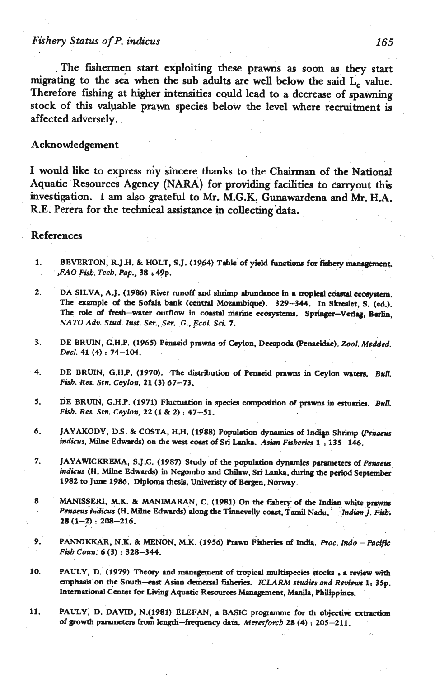# *Fishery* **Status of P. indicus 165.**

The fishermen start exploiting these prawns as soon as they start migrating to the sea when the sub adults are well below the said  $L_c$  value. Therefore **fihing** at higher intensities cadd lead to a decrease of spawning **stock** of this valuable prawn species below the level where recruitment is affected adversely.

### Acknowledgement

I would like to express my sincere **thanks** to the Chairman of the National Aquatic Resources Agency (NARA) for providing facilities to carryout this investigation. I am also grateful to Mr. M.G.K. Gunawardena and Mr. HA. **R.E.** Perera for the technical assistance in collecting'data.

#### **References**

1. BEVERTON, R.J.H. & HOLT, S.J. (1964) Table of yield functions for fishery management. . *,FAO Fkb. Tecb. Pap.,* **38 s 49p.** 

- 2. **DA SILVA, A.J. (1986) River runoff and shrimp abundance in a tropical coastal ecosystem.** The example **of** the Sofala **bonk (centml** Mozrmbiqw). **329-344.** In **Shelet, S.** (ed.). The role of fresh-water outflow in coastal marine ecosystems. Springer-Verlag, Berlin, **NATO** *Ado. Stud. Inst.* **Ser.,** *Ser.* **G..** *Ecol.* **Sd. 7.**
- **3.** DE BRUIN, G.H.P. (1965) Penacid prawns of Ceylon, Decapoda (Penacidae). *Zool. Medded. Decl.* 41 (4) : 74-104.
- **4. DE** BRUIN G.H.P. **(1970).** .The &'bution of **Penuid** prawns in Ceylon **'watcn. Bun.**  *Fisb. Res.* **Stn.** *Ceylon,* **21 (3) 67-73.**
- 5. DE BRUIN, G.H.P. (1971) Fluctuation in species composition of prawns in estuaries. Bull.<br>Fish. Res. Stn. Ceylon, 22 (1 & 2) : 47-51.
- 5. JAYAKODY, D.S. & COSTA, H.H. (1988) Population dynamics of Indian Shrimp (Penaeus indicus, Milne Edwards) on the west coast of Sri Lanka. Asian Fisheries 1:135-146.
- 7. JAYAWICKREMA, S.J.C. (1987) Study of the population dynamics parameters of Penaeus *indicvs* **(H.** Milne **Edwards)** in Negombo snd Chilaw, **Sri** Lanka, during **the** paiod September, **1982** to **June 1986. Diploma thesis, Univcriny of Bcrgcn,** Norway.
- 8 **MANISSERI, M.K. & MANIMARAN, C. (1981)** On the fishery of the Indian white prawns *~&aeus-tndicus* **(H.** Milne **Edwards)** dong **the** Tinnevclly coast, **Tamil** Nndu. *Indh J. Pi\*.*  **28 (I-?)** : **208-216.**
- **9. PANNIKKAR, N.K.** & **MENON, M.K. (1956) Prom** Fiskrk **of** India. *Proc. Indo -Pace Fish Corn. 6* **(3)** : **328-344.**
- **10. PAULY, D. (1979)** Theory **8nd** management of tropicd **multispecia stock** 8 **revkw** with  $a$  cmphasis on the South-east Asian demersal fisheries. *ICLARM studies and Reviews* 1: 35p. **1ntcrn.tiod** Center for **Living** Aquatic **Resources bhnnganent. Msnila,** Philipping.
- 11. PAULY, D. DAVID, N.(1981) ELEFAN, a BASIC programme for th objective extraction of growth parameters from length-frequency data. Meresforch 28 (4) : 205-211.